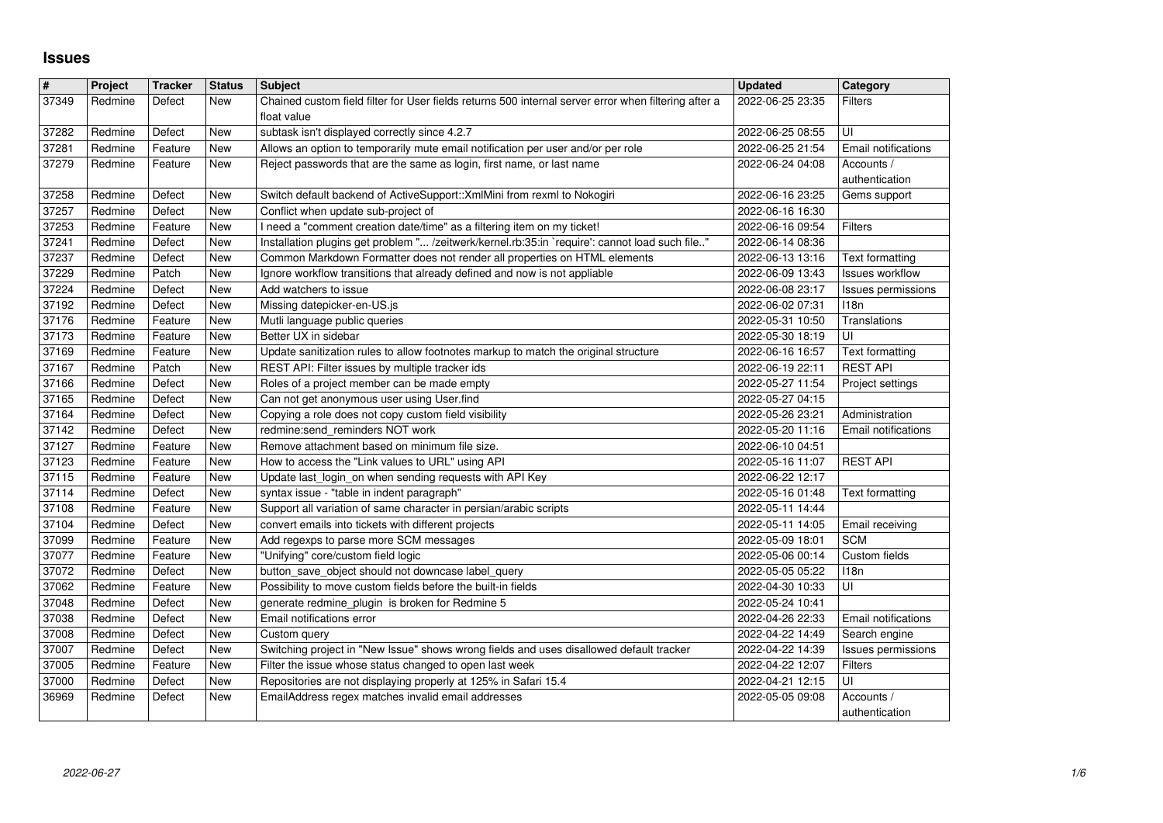## **Issues**

| $\vert$ #      | Project            | <b>Tracker</b>     | <b>Status</b> | <b>Subject</b>                                                                                                             | <b>Updated</b>                       | Category                                     |
|----------------|--------------------|--------------------|---------------|----------------------------------------------------------------------------------------------------------------------------|--------------------------------------|----------------------------------------------|
| 37349          | Redmine            | Defect             | New           | Chained custom field filter for User fields returns 500 internal server error when filtering after a                       | 2022-06-25 23:35                     | <b>Filters</b>                               |
| 37282          | Redmine            | Defect             | New           | float value<br>subtask isn't displayed correctly since 4.2.7                                                               | 2022-06-25 08:55                     | UI                                           |
| 37281          | Redmine            | Feature            | New           | Allows an option to temporarily mute email notification per user and/or per role                                           | 2022-06-25 21:54                     | Email notifications                          |
| 37279          | Redmine            | Feature            | New           | Reject passwords that are the same as login, first name, or last name                                                      | 2022-06-24 04:08                     | Accounts /                                   |
|                |                    |                    |               |                                                                                                                            |                                      | authentication                               |
| 37258<br>37257 | Redmine<br>Redmine | Defect<br>Defect   | New<br>New    | Switch default backend of ActiveSupport:: XmlMini from rexml to Nokogiri<br>Conflict when update sub-project of            | 2022-06-16 23:25<br>2022-06-16 16:30 | Gems support                                 |
| 37253          | Redmine            | Feature            | New           | I need a "comment creation date/time" as a filtering item on my ticket!                                                    | 2022-06-16 09:54                     | <b>Filters</b>                               |
| 37241          | Redmine            | Defect             | New           | Installation plugins get problem " /zeitwerk/kernel.rb:35:in `require': cannot load such file"                             | 2022-06-14 08:36                     |                                              |
| 37237          | Redmine            | Defect             | New           | Common Markdown Formatter does not render all properties on HTML elements                                                  | 2022-06-13 13:16                     | Text formatting                              |
| 37229<br>37224 | Redmine<br>Redmine | Patch<br>Defect    | New<br>New    | Ignore workflow transitions that already defined and now is not appliable<br>Add watchers to issue                         | 2022-06-09 13:43<br>2022-06-08 23:17 | <b>Issues workflow</b><br>Issues permissions |
| 37192          | Redmine            | Defect             | New           | Missing datepicker-en-US.js                                                                                                | 2022-06-02 07:31                     | 118n                                         |
| 37176          | Redmine            | Feature            | New           | Mutli language public queries                                                                                              | 2022-05-31 10:50                     | Translations                                 |
| 37173<br>37169 | Redmine<br>Redmine | Feature<br>Feature | New<br>New    | Better UX in sidebar<br>Update sanitization rules to allow footnotes markup to match the original structure                | 2022-05-30 18:19<br>2022-06-16 16:57 | UI<br>Text formatting                        |
| 37167          | Redmine            | Patch              | New           | REST API: Filter issues by multiple tracker ids                                                                            | 2022-06-19 22:11                     | <b>REST API</b>                              |
| 37166          | Redmine            | Defect             | New           | Roles of a project member can be made empty                                                                                | 2022-05-27 11:54                     | Project settings                             |
| 37165          | Redmine            | Defect             | New           | Can not get anonymous user using User.find                                                                                 | 2022-05-27 04:15                     |                                              |
| 37164<br>37142 | Redmine<br>Redmine | Defect<br>Defect   | New<br>New    | Copying a role does not copy custom field visibility<br>redmine:send_reminders NOT work                                    | 2022-05-26 23:21<br>2022-05-20 11:16 | Administration<br><b>Email notifications</b> |
| 37127          | Redmine            | Feature            | New           | Remove attachment based on minimum file size.                                                                              | 2022-06-10 04:51                     |                                              |
| 37123          | Redmine            | Feature            | New           | How to access the "Link values to URL" using API                                                                           | 2022-05-16 11:07                     | <b>REST API</b>                              |
| 37115<br>37114 | Redmine<br>Redmine | Feature<br>Defect  | New<br>New    | Update last_login_on when sending requests with API Key<br>syntax issue - "table in indent paragraph"                      | 2022-06-22 12:17<br>2022-05-16 01:48 | Text formatting                              |
| 37108          | Redmine            | Feature            | New           | Support all variation of same character in persian/arabic scripts                                                          | 2022-05-11 14:44                     |                                              |
| 37104          | Redmine            | Defect             | New           | convert emails into tickets with different projects                                                                        | 2022-05-11 14:05                     | Email receiving                              |
| 37099<br>37077 | Redmine<br>Redmine | Feature<br>Feature | New<br>New    | Add regexps to parse more SCM messages<br>"Unifying" core/custom field logic                                               | 2022-05-09 18:01<br>2022-05-06 00:14 | <b>SCM</b><br>Custom fields                  |
| 37072          | Redmine            | Defect             | New           | button_save_object should not downcase label_query                                                                         | 2022-05-05 05:22                     | 118n                                         |
| 37062          | Redmine            | Feature            | New           | Possibility to move custom fields before the built-in fields                                                               | 2022-04-30 10:33                     | UI                                           |
| 37048<br>37038 | Redmine<br>Redmine | Defect<br>Defect   | New<br>New    | generate redmine_plugin is broken for Redmine 5<br>Email notifications error                                               | 2022-05-24 10:41<br>2022-04-26 22:33 | <b>Email notifications</b>                   |
| 37008          | Redmine            | Defect             | New           | Custom query                                                                                                               | 2022-04-22 14:49                     | Search engine                                |
| 37007          | Redmine            | Defect             | New           | Switching project in "New Issue" shows wrong fields and uses disallowed default tracker                                    | 2022-04-22 14:39                     | Issues permissions                           |
| 37005<br>37000 | Redmine<br>Redmine | Feature<br>Defect  | New<br>New    | Filter the issue whose status changed to open last week<br>Repositories are not displaying properly at 125% in Safari 15.4 | 2022-04-22 12:07<br>2022-04-21 12:15 | Filters<br>UI                                |
| 36969          | Redmine            | Defect             | New           | EmailAddress regex matches invalid email addresses                                                                         | 2022-05-05 09:08                     | Accounts /                                   |
|                |                    |                    |               |                                                                                                                            |                                      |                                              |
|                |                    |                    |               |                                                                                                                            |                                      |                                              |
|                |                    |                    |               |                                                                                                                            |                                      |                                              |
|                |                    |                    |               |                                                                                                                            |                                      |                                              |
|                |                    |                    |               |                                                                                                                            |                                      |                                              |
|                |                    |                    |               |                                                                                                                            |                                      |                                              |
|                |                    |                    |               |                                                                                                                            |                                      |                                              |
|                |                    |                    |               |                                                                                                                            |                                      |                                              |
|                |                    |                    |               |                                                                                                                            |                                      |                                              |
|                |                    |                    |               |                                                                                                                            |                                      |                                              |
|                |                    |                    |               |                                                                                                                            |                                      |                                              |
|                |                    |                    |               |                                                                                                                            |                                      |                                              |
|                |                    |                    |               |                                                                                                                            |                                      |                                              |
|                |                    |                    |               |                                                                                                                            |                                      |                                              |
|                |                    |                    |               |                                                                                                                            |                                      |                                              |
|                |                    |                    |               |                                                                                                                            |                                      |                                              |
|                |                    |                    |               |                                                                                                                            |                                      |                                              |
|                |                    |                    |               |                                                                                                                            |                                      |                                              |
|                |                    |                    |               |                                                                                                                            |                                      |                                              |
|                |                    |                    |               |                                                                                                                            |                                      |                                              |
|                |                    |                    |               |                                                                                                                            |                                      |                                              |
|                |                    |                    |               |                                                                                                                            |                                      |                                              |
|                |                    |                    |               |                                                                                                                            |                                      |                                              |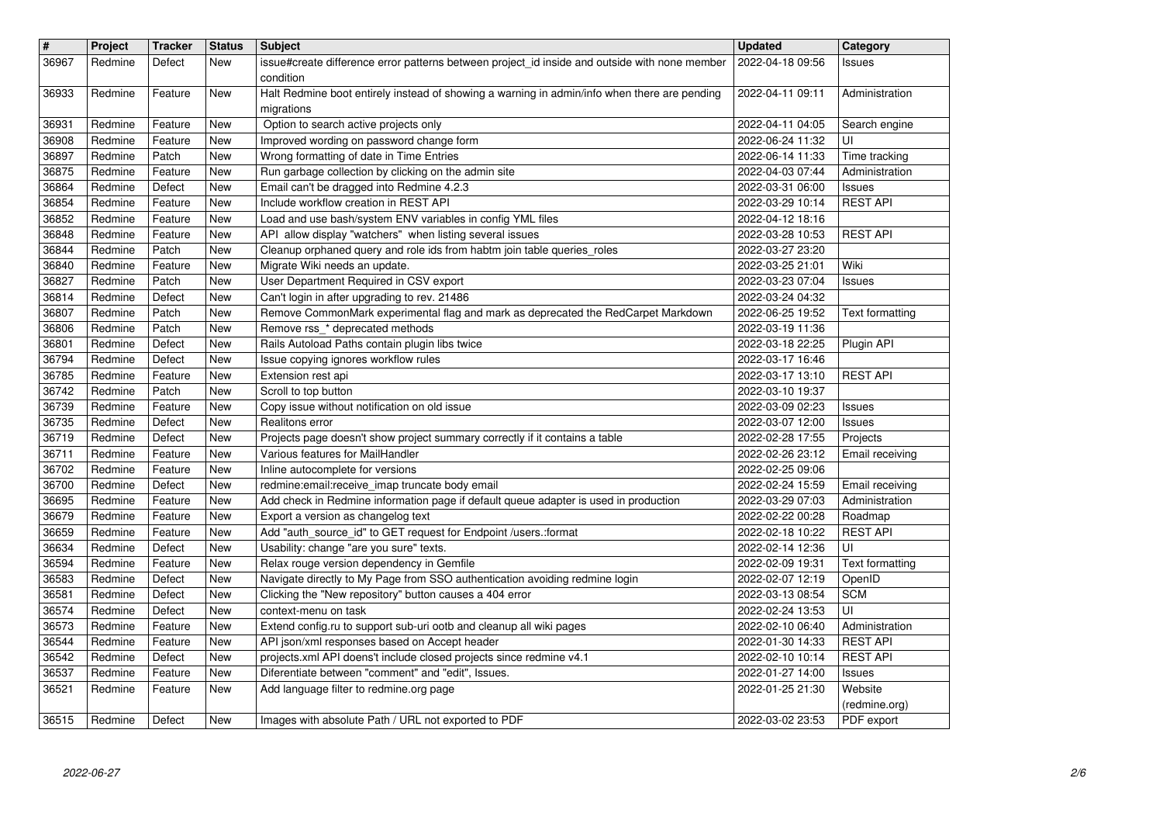| $\vert$ #      | Project            | <b>Tracker</b>    | <b>Status</b>     | <b>Subject</b>                                                                                                                           | <b>Updated</b>                       | Category                          |
|----------------|--------------------|-------------------|-------------------|------------------------------------------------------------------------------------------------------------------------------------------|--------------------------------------|-----------------------------------|
| 36967          | Redmine            | Defect            | New               | issue#create difference error patterns between project_id inside and outside with none member                                            | 2022-04-18 09:56                     | Issues                            |
|                |                    |                   |                   | condition                                                                                                                                |                                      |                                   |
| 36933          | Redmine            | Feature           | New               | Halt Redmine boot entirely instead of showing a warning in admin/info when there are pending                                             | 2022-04-11 09:11                     | Administration                    |
| 36931          | Redmine            | Feature           | New               | migrations<br>Option to search active projects only                                                                                      | 2022-04-11 04:05                     | Search engine                     |
| 36908          | Redmine            | Feature           | <b>New</b>        | Improved wording on password change form                                                                                                 | 2022-06-24 11:32                     | UI                                |
| 36897          | Redmine            | Patch             | New               | Wrong formatting of date in Time Entries                                                                                                 | 2022-06-14 11:33                     | Time tracking                     |
| 36875          | Redmine            | Feature           | New               | Run garbage collection by clicking on the admin site                                                                                     | 2022-04-03 07:44                     | Administration                    |
| 36864          | Redmine            | Defect            | New               | Email can't be dragged into Redmine 4.2.3                                                                                                | 2022-03-31 06:00                     | Issues                            |
| 36854          | Redmine            | Feature           | New               | Include workflow creation in REST API                                                                                                    | 2022-03-29 10:14                     | <b>REST API</b>                   |
| 36852          | Redmine            | Feature           | New               | Load and use bash/system ENV variables in config YML files                                                                               | 2022-04-12 18:16                     |                                   |
| 36848<br>36844 | Redmine<br>Redmine | Feature<br>Patch  | New               | API allow display "watchers" when listing several issues<br>Cleanup orphaned query and role ids from habtm join table queries_roles      | 2022-03-28 10:53<br>2022-03-27 23:20 | <b>REST API</b>                   |
| 36840          | Redmine            | Feature           | New<br>New        | Migrate Wiki needs an update.                                                                                                            | 2022-03-25 21:01                     | Wiki                              |
| 36827          | Redmine            | Patch             | New               | User Department Required in CSV export                                                                                                   | 2022-03-23 07:04                     | <b>Issues</b>                     |
| 36814          | Redmine            | Defect            | New               | Can't login in after upgrading to rev. 21486                                                                                             | 2022-03-24 04:32                     |                                   |
| 36807          | Redmine            | Patch             | New               | Remove CommonMark experimental flag and mark as deprecated the RedCarpet Markdown                                                        | 2022-06-25 19:52                     | Text formatting                   |
| 36806          | Redmine            | Patch             | New               | Remove rss_* deprecated methods                                                                                                          | 2022-03-19 11:36                     |                                   |
| 36801          | Redmine            | Defect            | New               | Rails Autoload Paths contain plugin libs twice                                                                                           | 2022-03-18 22:25                     | Plugin API                        |
| 36794<br>36785 | Redmine<br>Redmine | Defect<br>Feature | <b>New</b><br>New | Issue copying ignores workflow rules<br>Extension rest api                                                                               | 2022-03-17 16:46<br>2022-03-17 13:10 | <b>REST API</b>                   |
| 36742          | Redmine            | Patch             | New               | Scroll to top button                                                                                                                     | 2022-03-10 19:37                     |                                   |
| 36739          | Redmine            | Feature           | <b>New</b>        | Copy issue without notification on old issue                                                                                             | 2022-03-09 02:23                     | Issues                            |
| 36735          | Redmine            | Defect            | New               | Realitons error                                                                                                                          | 2022-03-07 12:00                     | <b>Issues</b>                     |
| 36719          | Redmine            | Defect            | New               | Projects page doesn't show project summary correctly if it contains a table                                                              | 2022-02-28 17:55                     | Projects                          |
| 36711          | Redmine            | Feature           | New               | Various features for MailHandler                                                                                                         | 2022-02-26 23:12                     | Email receiving                   |
| 36702          | Redmine            | Feature           | New               | Inline autocomplete for versions                                                                                                         | 2022-02-25 09:06                     |                                   |
| 36700<br>36695 | Redmine<br>Redmine | Defect<br>Feature | New               | redmine: email: receive_imap truncate body email<br>Add check in Redmine information page if default queue adapter is used in production | 2022-02-24 15:59                     | Email receiving<br>Administration |
| 36679          | Redmine            | Feature           | New<br>New        | Export a version as changelog text                                                                                                       | 2022-03-29 07:03<br>2022-02-22 00:28 | Roadmap                           |
| 36659          | Redmine            | Feature           | New               | Add "auth_source_id" to GET request for Endpoint /users.:format                                                                          | 2022-02-18 10:22                     | <b>REST API</b>                   |
| 36634          | Redmine            | Defect            | New               | Usability: change "are you sure" texts.                                                                                                  | 2022-02-14 12:36                     | UI                                |
| 36594          | Redmine            | Feature           | New               | Relax rouge version dependency in Gemfile                                                                                                | 2022-02-09 19:31                     | Text formatting                   |
| 36583          | Redmine            | Defect            | New               | Navigate directly to My Page from SSO authentication avoiding redmine login                                                              | 2022-02-07 12:19                     | OpenID                            |
| 36581          | Redmine            | Defect            | New               | Clicking the "New repository" button causes a 404 error                                                                                  | 2022-03-13 08:54                     | <b>SCM</b>                        |
| 36574          | Redmine            | Defect            | New               | context-menu on task                                                                                                                     | 2022-02-24 13:53                     | UI                                |
| 36573          | Redmine            | Feature           | New               | Extend config.ru to support sub-uri ootb and cleanup all wiki pages                                                                      | 2022-02-10 06:40                     | Administration<br><b>REST API</b> |
| 36544<br>36542 | Redmine<br>Redmine | Feature<br>Defect | New<br>New        | API json/xml responses based on Accept header<br>projects.xml API doens't include closed projects since redmine v4.1                     | 2022-01-30 14:33<br>2022-02-10 10:14 | <b>REST API</b>                   |
| 36537          | Redmine            | Feature           | New               | Diferentiate between "comment" and "edit", Issues.                                                                                       | 2022-01-27 14:00                     | Issues                            |
| 36521          | Redmine            | Feature           | New               | Add language filter to redmine.org page                                                                                                  | 2022-01-25 21:30                     | Website                           |
|                |                    |                   |                   |                                                                                                                                          |                                      | (redmine.org)                     |
| 36515          | Redmine            | Defect            | New               | Images with absolute Path / URL not exported to PDF                                                                                      | 2022-03-02 23:53                     | PDF export                        |
|                |                    |                   |                   |                                                                                                                                          |                                      |                                   |
|                |                    |                   |                   |                                                                                                                                          |                                      |                                   |
|                |                    |                   |                   |                                                                                                                                          |                                      |                                   |
|                |                    |                   |                   |                                                                                                                                          |                                      |                                   |
|                |                    |                   |                   |                                                                                                                                          |                                      |                                   |
|                |                    |                   |                   |                                                                                                                                          |                                      |                                   |
|                |                    |                   |                   |                                                                                                                                          |                                      |                                   |
|                |                    |                   |                   |                                                                                                                                          |                                      |                                   |
|                |                    |                   |                   |                                                                                                                                          |                                      |                                   |
|                |                    |                   |                   |                                                                                                                                          |                                      |                                   |
|                |                    |                   |                   |                                                                                                                                          |                                      |                                   |
|                |                    |                   |                   |                                                                                                                                          |                                      |                                   |
|                |                    |                   |                   |                                                                                                                                          |                                      |                                   |
|                |                    |                   |                   |                                                                                                                                          |                                      |                                   |
|                |                    |                   |                   |                                                                                                                                          |                                      |                                   |
|                |                    |                   |                   |                                                                                                                                          |                                      |                                   |
|                |                    |                   |                   |                                                                                                                                          |                                      |                                   |
|                |                    |                   |                   |                                                                                                                                          |                                      |                                   |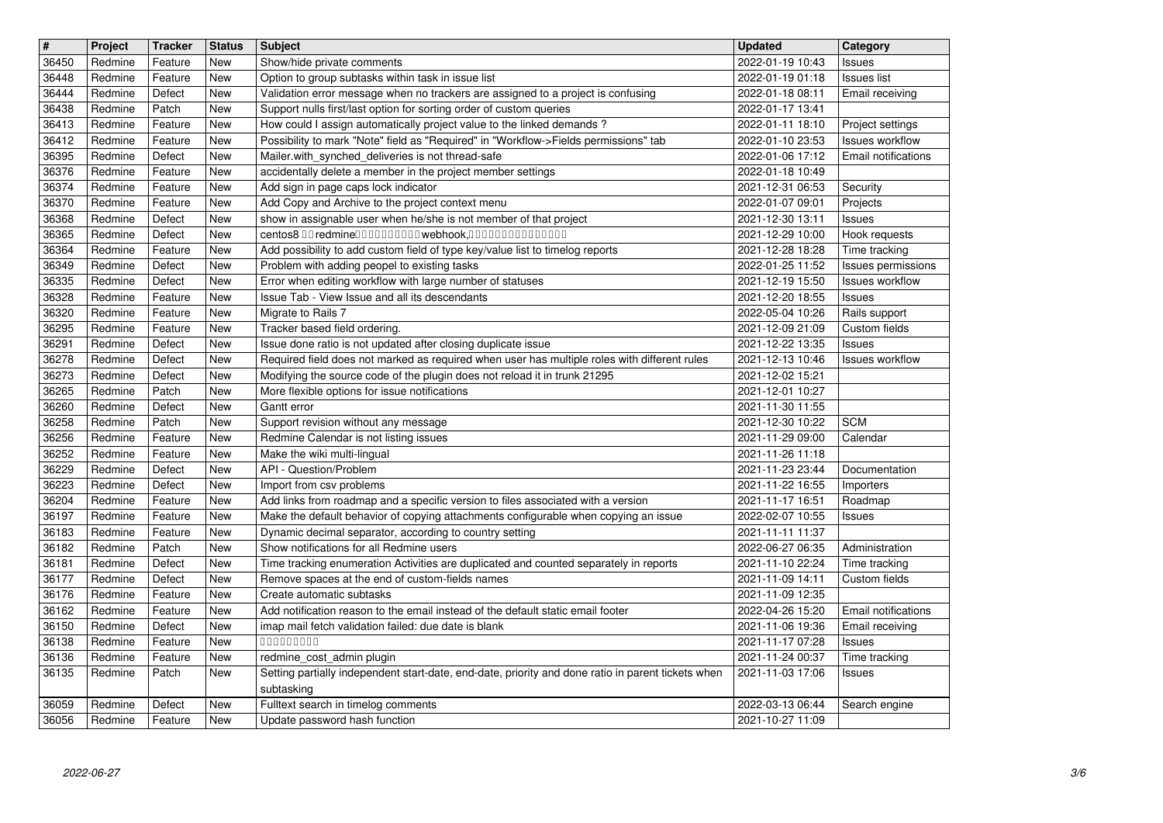| $\overline{\boldsymbol{H}}$ | Project            | <b>Tracker</b>     | <b>Status</b>     | <b>Subject</b>                                                                                                                                 | <b>Updated</b>                       | Category                                      |
|-----------------------------|--------------------|--------------------|-------------------|------------------------------------------------------------------------------------------------------------------------------------------------|--------------------------------------|-----------------------------------------------|
| 36450<br>36448              | Redmine<br>Redmine | Feature<br>Feature | New<br>New        | Show/hide private comments<br>Option to group subtasks within task in issue list                                                               | 2022-01-19 10:43<br>2022-01-19 01:18 | Issues<br><b>Issues list</b>                  |
| 36444<br>36438              | Redmine<br>Redmine | Defect<br>Patch    | New               | Validation error message when no trackers are assigned to a project is confusing                                                               | 2022-01-18 08:11<br>2022-01-17 13:41 | Email receiving                               |
| 36413                       | Redmine            | Feature            | New<br>New        | Support nulls first/last option for sorting order of custom queries<br>How could I assign automatically project value to the linked demands?   | 2022-01-11 18:10                     | Project settings                              |
| 36412<br>36395              | Redmine            | Feature            | New               | Possibility to mark "Note" field as "Required" in "Workflow->Fields permissions" tab                                                           | 2022-01-10 23:53                     | <b>Issues workflow</b><br>Email notifications |
| 36376                       | Redmine<br>Redmine | Defect<br>Feature  | New<br>New        | Mailer.with_synched_deliveries is not thread-safe<br>accidentally delete a member in the project member settings                               | 2022-01-06 17:12<br>2022-01-18 10:49 |                                               |
| 36374                       | Redmine            | Feature            | New               | Add sign in page caps lock indicator<br>Add Copy and Archive to the project context menu                                                       | 2021-12-31 06:53                     | Security                                      |
| 36370<br>36368              | Redmine<br>Redmine | Feature<br>Defect  | New<br>New        | show in assignable user when he/she is not member of that project                                                                              | 2022-01-07 09:01<br>2021-12-30 13:11 | Projects<br>Issues                            |
| 36365                       | Redmine<br>Redmine | Defect<br>Feature  | New               | centos8 00 redmine0000000000 webhook,000000000000000<br>Add possibility to add custom field of type key/value list to timelog reports          | 2021-12-29 10:00<br>2021-12-28 18:28 | Hook requests                                 |
| 36364<br>36349              | Redmine            | Defect             | New<br>New        | Problem with adding peopel to existing tasks                                                                                                   | 2022-01-25 11:52                     | Time tracking<br>Issues permissions           |
| 36335<br>36328              | Redmine<br>Redmine | Defect<br>Feature  | New<br>New        | Error when editing workflow with large number of statuses<br>Issue Tab - View Issue and all its descendants                                    | 2021-12-19 15:50<br>2021-12-20 18:55 | <b>Issues workflow</b><br>Issues              |
| 36320                       | Redmine            | Feature            | New               | Migrate to Rails 7                                                                                                                             | 2022-05-04 10:26                     | Rails support                                 |
| 36295<br>36291              | Redmine<br>Redmine | Feature<br>Defect  | New<br>New        | Tracker based field ordering.<br>Issue done ratio is not updated after closing duplicate issue                                                 | 2021-12-09 21:09<br>2021-12-22 13:35 | Custom fields<br>Issues                       |
| 36278                       | Redmine            | Defect             | New               | Required field does not marked as required when user has multiple roles with different rules                                                   | 2021-12-13 10:46                     | Issues workflow                               |
| 36273<br>36265              | Redmine<br>Redmine | Defect<br>Patch    | New<br>New        | Modifying the source code of the plugin does not reload it in trunk 21295<br>More flexible options for issue notifications                     | 2021-12-02 15:21<br>2021-12-01 10:27 |                                               |
| 36260                       | Redmine            | Defect             | New               | Gantt error                                                                                                                                    | 2021-11-30 11:55                     |                                               |
| 36258<br>36256              | Redmine<br>Redmine | Patch<br>Feature   | New<br>New        | Support revision without any message<br>Redmine Calendar is not listing issues                                                                 | 2021-12-30 10:22<br>2021-11-29 09:00 | <b>SCM</b><br>Calendar                        |
| 36252                       | Redmine            | Feature            | New               | Make the wiki multi-lingual                                                                                                                    | 2021-11-26 11:18                     |                                               |
| 36229<br>36223              | Redmine<br>Redmine | Defect<br>Defect   | New<br>New        | API - Question/Problem<br>Import from csv problems                                                                                             | 2021-11-23 23:44<br>2021-11-22 16:55 | Documentation<br>Importers                    |
| 36204                       | Redmine            | Feature            | New               | Add links from roadmap and a specific version to files associated with a version                                                               | 2021-11-17 16:51                     | Roadmap                                       |
| 36197<br>36183              | Redmine<br>Redmine | Feature<br>Feature | New<br>New        | Make the default behavior of copying attachments configurable when copying an issue<br>Dynamic decimal separator, according to country setting | 2022-02-07 10:55<br>2021-11-11 11:37 | Issues                                        |
| 36182                       | Redmine            | Patch              | New               | Show notifications for all Redmine users                                                                                                       | 2022-06-27 06:35                     | Administration                                |
| 36181<br>36177              | Redmine<br>Redmine | Defect<br>Defect   | New<br>New        | Time tracking enumeration Activities are duplicated and counted separately in reports<br>Remove spaces at the end of custom-fields names       | 2021-11-10 22:24<br>2021-11-09 14:11 | Time tracking<br>Custom fields                |
| 36176                       | Redmine            | Feature            | New               | Create automatic subtasks                                                                                                                      | 2021-11-09 12:35                     |                                               |
| 36162<br>36150              | Redmine<br>Redmine | Feature<br>Defect  | New<br><b>New</b> | Add notification reason to the email instead of the default static email footer<br>imap mail fetch validation failed: due date is blank        | 2022-04-26 15:20<br>2021-11-06 19:36 | <b>Email notifications</b><br>Email receiving |
| 36138                       | Redmine            | Feature            | New               | 00000000                                                                                                                                       | 2021-11-17 07:28                     | <b>Issues</b>                                 |
| 36136<br>36135              | Redmine<br>Redmine | Feature<br>Patch   | New<br>New        | redmine_cost_admin plugin<br>Setting partially independent start-date, end-date, priority and done ratio in parent tickets when                | 2021-11-24 00:37<br>2021-11-03 17:06 | Time tracking<br>Issues                       |
|                             |                    | Defect             | New               | subtasking<br>Fulltext search in timelog comments                                                                                              | 2022-03-13 06:44                     |                                               |
| 36059<br>36056              | Redmine<br>Redmine | Feature            | New               | Update password hash function                                                                                                                  | 2021-10-27 11:09                     | Search engine                                 |
|                             |                    |                    |                   |                                                                                                                                                |                                      |                                               |
|                             |                    |                    |                   |                                                                                                                                                |                                      |                                               |
|                             |                    |                    |                   |                                                                                                                                                |                                      |                                               |
|                             |                    |                    |                   |                                                                                                                                                |                                      |                                               |
|                             |                    |                    |                   |                                                                                                                                                |                                      |                                               |
|                             |                    |                    |                   |                                                                                                                                                |                                      |                                               |
|                             |                    |                    |                   |                                                                                                                                                |                                      |                                               |
|                             |                    |                    |                   |                                                                                                                                                |                                      |                                               |
|                             |                    |                    |                   |                                                                                                                                                |                                      |                                               |
|                             |                    |                    |                   |                                                                                                                                                |                                      |                                               |
|                             |                    |                    |                   |                                                                                                                                                |                                      |                                               |
|                             |                    |                    |                   |                                                                                                                                                |                                      |                                               |
|                             |                    |                    |                   |                                                                                                                                                |                                      |                                               |
|                             |                    |                    |                   |                                                                                                                                                |                                      |                                               |
|                             |                    |                    |                   |                                                                                                                                                |                                      |                                               |
|                             |                    |                    |                   |                                                                                                                                                |                                      |                                               |
|                             |                    |                    |                   |                                                                                                                                                |                                      |                                               |
|                             |                    |                    |                   |                                                                                                                                                |                                      |                                               |
|                             |                    |                    |                   |                                                                                                                                                |                                      |                                               |
|                             |                    |                    |                   |                                                                                                                                                |                                      |                                               |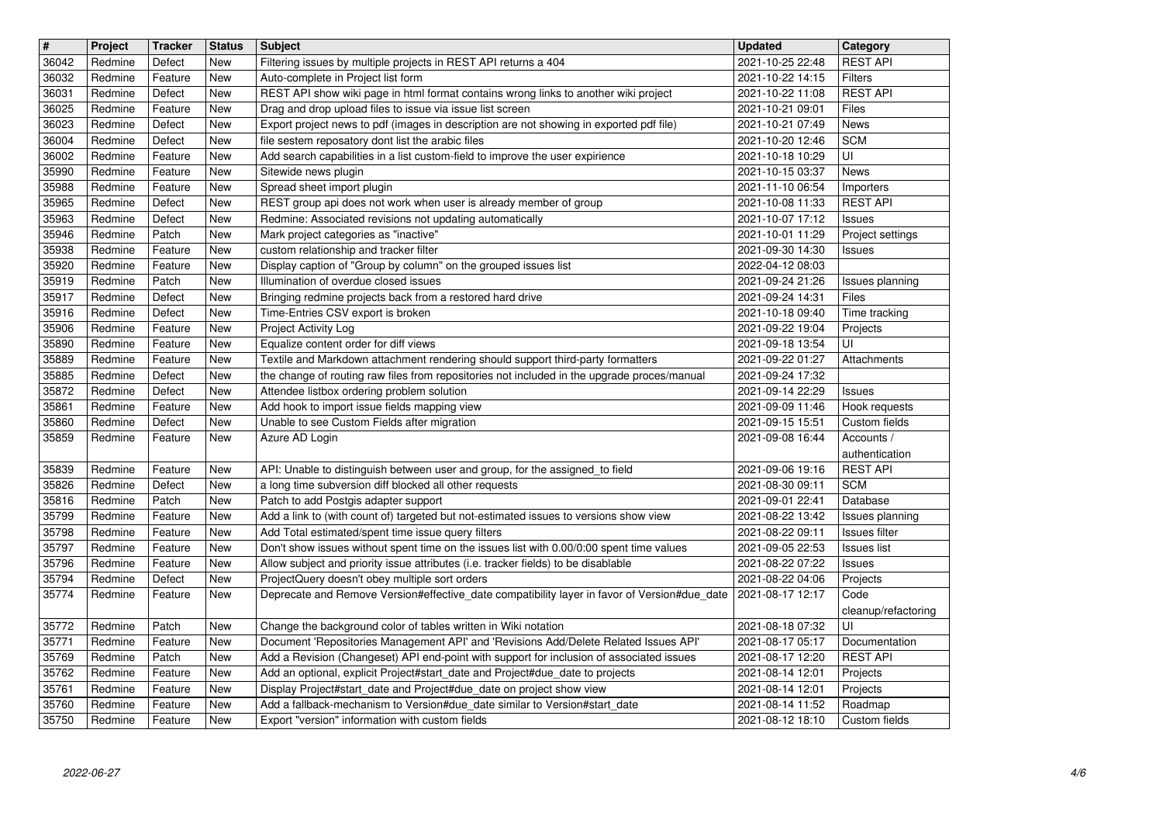| $\overline{\mathbf{H}}$ | Project            | <b>Tracker</b>     | <b>Status</b> | <b>Subject</b>                                                                                                                                        | <b>Updated</b>                       | Category                          |
|-------------------------|--------------------|--------------------|---------------|-------------------------------------------------------------------------------------------------------------------------------------------------------|--------------------------------------|-----------------------------------|
| 36042<br>36032          | Redmine<br>Redmine | Defect<br>Feature  | New<br>New    | Filtering issues by multiple projects in REST API returns a 404<br>Auto-complete in Project list form                                                 | 2021-10-25 22:48<br>2021-10-22 14:15 | <b>REST API</b><br><b>Filters</b> |
| 36031                   | Redmine            | Defect             | New           | REST API show wiki page in html format contains wrong links to another wiki project                                                                   | 2021-10-22 11:08                     | <b>REST API</b>                   |
| 36025                   | Redmine            | Feature            | New           | Drag and drop upload files to issue via issue list screen                                                                                             | 2021-10-21 09:01                     | Files                             |
| 36023<br>36004          | Redmine<br>Redmine | Defect<br>Defect   | New<br>New    | Export project news to pdf (images in description are not showing in exported pdf file)<br>file sestem reposatory dont list the arabic files          | 2021-10-21 07:49<br>2021-10-20 12:46 | News<br><b>SCM</b>                |
| 36002                   | Redmine            | Feature            | New           | Add search capabilities in a list custom-field to improve the user expirience                                                                         | 2021-10-18 10:29                     | UI                                |
| 35990                   | Redmine            | Feature            | New           | Sitewide news plugin                                                                                                                                  | 2021-10-15 03:37                     | News                              |
| 35988                   | Redmine            | Feature            | New           | Spread sheet import plugin                                                                                                                            | 2021-11-10 06:54                     | Importers                         |
| 35965<br>35963          | Redmine<br>Redmine | Defect<br>Defect   | New<br>New    | REST group api does not work when user is already member of group<br>Redmine: Associated revisions not updating automatically                         | 2021-10-08 11:33<br>2021-10-07 17:12 | <b>REST API</b><br>Issues         |
| 35946                   | Redmine            | Patch              | New           | Mark project categories as "inactive"                                                                                                                 | 2021-10-01 11:29                     | Project settings                  |
| 35938                   | Redmine            | Feature            | New           | custom relationship and tracker filter                                                                                                                | 2021-09-30 14:30                     | Issues                            |
| 35920<br>35919          | Redmine<br>Redmine | Feature<br>Patch   | New<br>New    | Display caption of "Group by column" on the grouped issues list<br>Illumination of overdue closed issues                                              | 2022-04-12 08:03<br>2021-09-24 21:26 | Issues planning                   |
| 35917                   | Redmine            | Defect             | New           | Bringing redmine projects back from a restored hard drive                                                                                             | 2021-09-24 14:31                     | <b>Files</b>                      |
| 35916                   | Redmine            | Defect             | New           | Time-Entries CSV export is broken                                                                                                                     | 2021-10-18 09:40                     | Time tracking                     |
| 35906<br>35890          | Redmine<br>Redmine | Feature<br>Feature | New<br>New    | Project Activity Log<br>Equalize content order for diff views                                                                                         | 2021-09-22 19:04<br>2021-09-18 13:54 | Projects<br>UI                    |
| 35889                   | Redmine            | Feature            | New           | Textile and Markdown attachment rendering should support third-party formatters                                                                       | 2021-09-22 01:27                     | Attachments                       |
| 35885                   | Redmine            | Defect             | New           | the change of routing raw files from repositories not included in the upgrade proces/manual                                                           | 2021-09-24 17:32                     |                                   |
| 35872<br>35861          | Redmine<br>Redmine | Defect<br>Feature  | New<br>New    | Attendee listbox ordering problem solution<br>Add hook to import issue fields mapping view                                                            | 2021-09-14 22:29<br>2021-09-09 11:46 | <b>Issues</b><br>Hook requests    |
| 35860                   | Redmine            | Defect             | New           | Unable to see Custom Fields after migration                                                                                                           | 2021-09-15 15:51                     | Custom fields                     |
| 35859                   | Redmine            | Feature            | New           | Azure AD Login                                                                                                                                        | 2021-09-08 16:44                     | Accounts /                        |
| 35839                   | Redmine            | Feature            | New           | API: Unable to distinguish between user and group, for the assigned_to field                                                                          | 2021-09-06 19:16                     | authentication<br><b>REST API</b> |
| 35826                   | Redmine            | Defect             | New           | a long time subversion diff blocked all other requests                                                                                                | 2021-08-30 09:11                     | <b>SCM</b>                        |
| 35816                   | Redmine            | Patch              | New           | Patch to add Postgis adapter support                                                                                                                  | 2021-09-01 22:41                     | Database                          |
| 35799                   | Redmine            | Feature            | New           | Add a link to (with count of) targeted but not-estimated issues to versions show view                                                                 | 2021-08-22 13:42                     | Issues planning                   |
| 35798<br>35797          | Redmine<br>Redmine | Feature<br>Feature | New<br>New    | Add Total estimated/spent time issue query filters<br>Don't show issues without spent time on the issues list with 0.00/0:00 spent time values        | 2021-08-22 09:11<br>2021-09-05 22:53 | Issues filter<br>Issues list      |
| 35796                   | Redmine            | Feature            | New           | Allow subject and priority issue attributes (i.e. tracker fields) to be disablable                                                                    | 2021-08-22 07:22                     | Issues                            |
| 35794                   | Redmine            | Defect             | New           | ProjectQuery doesn't obey multiple sort orders                                                                                                        | 2021-08-22 04:06                     | Projects                          |
| 35774                   | Redmine            | Feature            | New           | Deprecate and Remove Version#effective_date compatibility layer in favor of Version#due_date                                                          | 2021-08-17 12:17                     | Code                              |
| 35772                   | Redmine            | Patch              | New           | Change the background color of tables written in Wiki notation                                                                                        | 2021-08-18 07:32                     | cleanup/refactoring<br>UI         |
| 35771                   | Redmine            | Feature            | New           | Document 'Repositories Management API' and 'Revisions Add/Delete Related Issues API'                                                                  | 2021-08-17 05:17                     | Documentation                     |
| 35769                   | Redmine            | Patch              | New           | Add a Revision (Changeset) API end-point with support for inclusion of associated issues                                                              | 2021-08-17 12:20                     | <b>REST API</b>                   |
| 35762<br>35761          | Redmine<br>Redmine | Feature<br>Feature | New<br>New    | Add an optional, explicit Project#start_date and Project#due_date to projects<br>Display Project#start_date and Project#due_date on project show view | 2021-08-14 12:01<br>2021-08-14 12:01 | Projects<br>Projects              |
| 35760                   | Redmine            | Feature            | New           | Add a fallback-mechanism to Version#due_date similar to Version#start_date                                                                            | 2021-08-14 11:52                     | Roadmap                           |
| 35750                   | Redmine            | Feature            | New           | Export "version" information with custom fields                                                                                                       | 2021-08-12 18:10                     | Custom fields                     |
|                         |                    |                    |               |                                                                                                                                                       |                                      |                                   |
|                         |                    |                    |               |                                                                                                                                                       |                                      |                                   |
|                         |                    |                    |               |                                                                                                                                                       |                                      |                                   |
|                         |                    |                    |               |                                                                                                                                                       |                                      |                                   |
|                         |                    |                    |               |                                                                                                                                                       |                                      |                                   |
|                         |                    |                    |               |                                                                                                                                                       |                                      |                                   |
|                         |                    |                    |               |                                                                                                                                                       |                                      |                                   |
|                         |                    |                    |               |                                                                                                                                                       |                                      |                                   |
|                         |                    |                    |               |                                                                                                                                                       |                                      |                                   |
|                         |                    |                    |               |                                                                                                                                                       |                                      |                                   |
|                         |                    |                    |               |                                                                                                                                                       |                                      |                                   |
|                         |                    |                    |               |                                                                                                                                                       |                                      |                                   |
|                         |                    |                    |               |                                                                                                                                                       |                                      |                                   |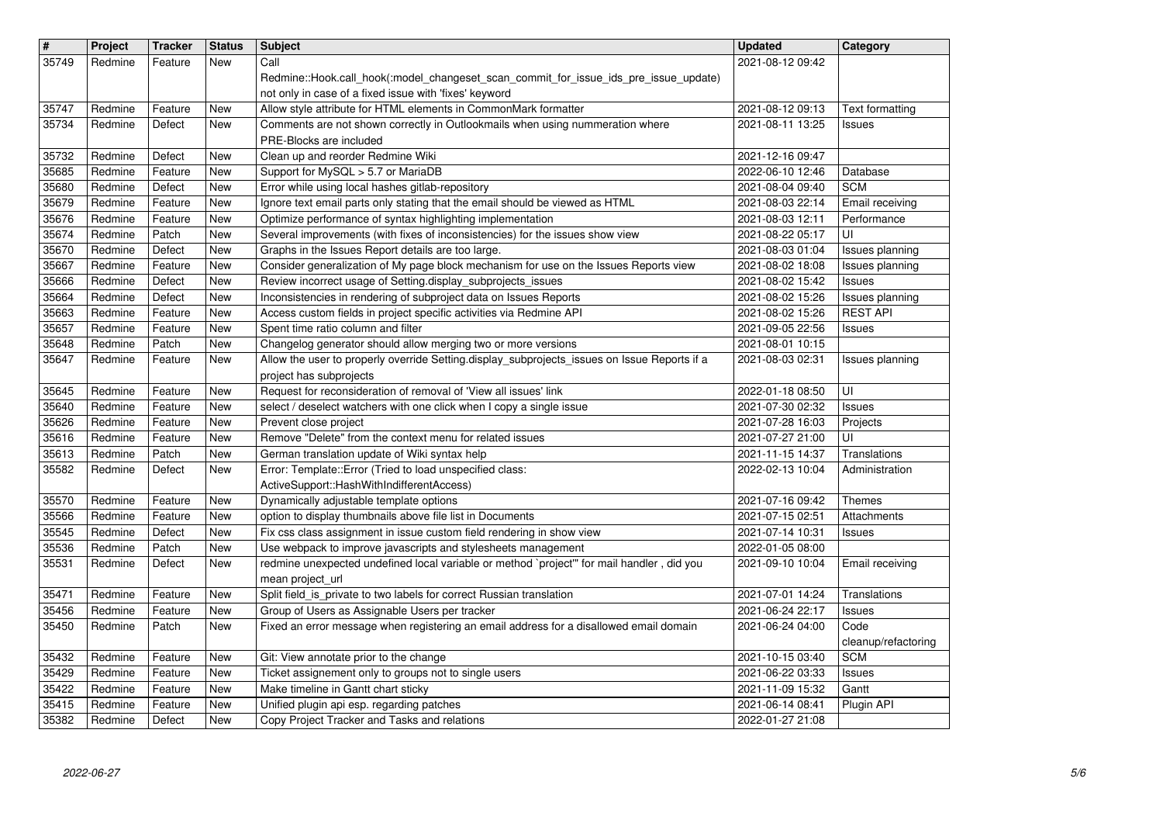| $\sqrt{\frac{4}{15}}$ | Project            | <b>Tracker</b>     | <b>Status</b>            | <b>Subject</b>                                                                                                                             | <b>Updated</b>                       | Category                           |
|-----------------------|--------------------|--------------------|--------------------------|--------------------------------------------------------------------------------------------------------------------------------------------|--------------------------------------|------------------------------------|
| 35749                 | Redmine            | Feature            | New                      | Call                                                                                                                                       | 2021-08-12 09:42                     |                                    |
|                       |                    |                    |                          | Redmine::Hook.call_hook(:model_changeset_scan_commit_for_issue_ids_pre_issue_update)                                                       |                                      |                                    |
| 35747                 | Redmine            | Feature            | <b>New</b>               | not only in case of a fixed issue with 'fixes' keyword<br>Allow style attribute for HTML elements in CommonMark formatter                  | 2021-08-12 09:13                     | Text formatting                    |
| 35734                 | Redmine            | Defect             | <b>New</b>               | Comments are not shown correctly in Outlookmails when using nummeration where                                                              | 2021-08-11 13:25                     | Issues                             |
|                       |                    |                    |                          | PRE-Blocks are included                                                                                                                    |                                      |                                    |
| 35732                 | Redmine            | Defect             | New                      | Clean up and reorder Redmine Wiki                                                                                                          | 2021-12-16 09:47                     |                                    |
| 35685                 | Redmine            | Feature            | New                      | Support for MySQL > 5.7 or MariaDB                                                                                                         | 2022-06-10 12:46                     | Database                           |
| 35680                 | Redmine            | Defect             | New                      | Error while using local hashes gitlab-repository                                                                                           | 2021-08-04 09:40                     | <b>SCM</b>                         |
| 35679<br>35676        | Redmine<br>Redmine | Feature<br>Feature | <b>New</b><br><b>New</b> | Ignore text email parts only stating that the email should be viewed as HTML<br>Optimize performance of syntax highlighting implementation | 2021-08-03 22:14<br>2021-08-03 12:11 | Email receiving<br>Performance     |
| 35674                 | Redmine            | Patch              | New                      | Several improvements (with fixes of inconsistencies) for the issues show view                                                              | 2021-08-22 05:17                     | UI                                 |
| 35670                 | Redmine            | Defect             | <b>New</b>               | Graphs in the Issues Report details are too large.                                                                                         | 2021-08-03 01:04                     | Issues planning                    |
| 35667                 | Redmine            | Feature            | New                      | Consider generalization of My page block mechanism for use on the Issues Reports view                                                      | 2021-08-02 18:08                     | Issues planning                    |
| 35666                 | Redmine            | Defect             | New                      | Review incorrect usage of Setting.display_subprojects_issues                                                                               | 2021-08-02 15:42                     | Issues                             |
| 35664<br>35663        | Redmine<br>Redmine | Defect<br>Feature  | New<br>New               | Inconsistencies in rendering of subproject data on Issues Reports<br>Access custom fields in project specific activities via Redmine API   | 2021-08-02 15:26<br>2021-08-02 15:26 | Issues planning<br><b>REST API</b> |
| 35657                 | Redmine            | Feature            | <b>New</b>               | Spent time ratio column and filter                                                                                                         | 2021-09-05 22:56                     | Issues                             |
| 35648                 | Redmine            | Patch              | <b>New</b>               | Changelog generator should allow merging two or more versions                                                                              | 2021-08-01 10:15                     |                                    |
| 35647                 | Redmine            | Feature            | New                      | Allow the user to properly override Setting.display_subprojects_issues on Issue Reports if a                                               | 2021-08-03 02:31                     | Issues planning                    |
|                       | Redmine            | Feature            | New                      | project has subprojects<br>Request for reconsideration of removal of 'View all issues' link                                                | 2022-01-18 08:50                     | UI                                 |
| 35645<br>35640        | Redmine            | Feature            | New                      | select / deselect watchers with one click when I copy a single issue                                                                       | 2021-07-30 02:32                     | Issues                             |
| 35626                 | Redmine            | Feature            | New                      | Prevent close project                                                                                                                      | 2021-07-28 16:03                     | Projects                           |
| 35616                 | Redmine            | Feature            | New                      | Remove "Delete" from the context menu for related issues                                                                                   | 2021-07-27 21:00                     | UI                                 |
| 35613                 | Redmine            | Patch              | New                      | German translation update of Wiki syntax help                                                                                              | 2021-11-15 14:37                     | Translations                       |
| 35582                 | Redmine            | Defect             | New                      | Error: Template::Error (Tried to load unspecified class:                                                                                   | 2022-02-13 10:04                     | Administration                     |
| 35570                 | Redmine            | Feature            | <b>New</b>               | ActiveSupport::HashWithIndifferentAccess)<br>Dynamically adjustable template options                                                       | 2021-07-16 09:42                     | Themes                             |
| 35566                 | Redmine            | Feature            | New                      | option to display thumbnails above file list in Documents                                                                                  | 2021-07-15 02:51                     | Attachments                        |
| 35545                 | Redmine            | Defect             | <b>New</b>               | Fix css class assignment in issue custom field rendering in show view                                                                      | 2021-07-14 10:31                     | <b>Issues</b>                      |
| 35536                 | Redmine            | Patch              | <b>New</b>               | Use webpack to improve javascripts and stylesheets management                                                                              | 2022-01-05 08:00                     |                                    |
| 35531                 | Redmine            | Defect             | <b>New</b>               | redmine unexpected undefined local variable or method `project" for mail handler, did you                                                  | 2021-09-10 10:04                     | Email receiving                    |
| 35471                 | Redmine            | Feature            | New                      | mean project url<br>Split field_is_private to two labels for correct Russian translation                                                   | 2021-07-01 14:24                     | Translations                       |
| 35456                 | Redmine            | Feature            | New                      | Group of Users as Assignable Users per tracker                                                                                             | 2021-06-24 22:17                     | Issues                             |
| 35450                 | Redmine            | Patch              | New                      | Fixed an error message when registering an email address for a disallowed email domain                                                     | 2021-06-24 04:00                     | Code                               |
|                       |                    |                    |                          |                                                                                                                                            |                                      | cleanup/refactoring                |
|                       | 35432 Redmine      | Feature            | New                      | Git: View annotate prior to the change                                                                                                     | 2021-10-15 03:40                     | <b>SCM</b>                         |
| 35429<br>35422        | Redmine<br>Redmine | Feature<br>Feature | <b>New</b><br>New        | Ticket assignement only to groups not to single users<br>Make timeline in Gantt chart sticky                                               | 2021-06-22 03:33<br>2021-11-09 15:32 | Issues<br>Gantt                    |
| 35415                 | Redmine            | Feature            | New                      | Unified plugin api esp. regarding patches                                                                                                  | 2021-06-14 08:41                     | Plugin API                         |
| 35382                 | Redmine            | Defect             | New                      | Copy Project Tracker and Tasks and relations                                                                                               | 2022-01-27 21:08                     |                                    |
|                       |                    |                    |                          |                                                                                                                                            |                                      |                                    |
|                       |                    |                    |                          |                                                                                                                                            |                                      |                                    |
|                       |                    |                    |                          |                                                                                                                                            |                                      |                                    |
|                       |                    |                    |                          |                                                                                                                                            |                                      |                                    |
|                       |                    |                    |                          |                                                                                                                                            |                                      |                                    |
|                       |                    |                    |                          |                                                                                                                                            |                                      |                                    |
|                       |                    |                    |                          |                                                                                                                                            |                                      |                                    |
|                       |                    |                    |                          |                                                                                                                                            |                                      |                                    |
|                       |                    |                    |                          |                                                                                                                                            |                                      |                                    |
|                       |                    |                    |                          |                                                                                                                                            |                                      |                                    |
|                       |                    |                    |                          |                                                                                                                                            |                                      |                                    |
|                       |                    |                    |                          |                                                                                                                                            |                                      |                                    |
|                       |                    |                    |                          |                                                                                                                                            |                                      |                                    |
|                       |                    |                    |                          |                                                                                                                                            |                                      |                                    |
|                       |                    |                    |                          |                                                                                                                                            |                                      |                                    |
|                       |                    |                    |                          |                                                                                                                                            |                                      |                                    |
|                       |                    |                    |                          |                                                                                                                                            |                                      |                                    |